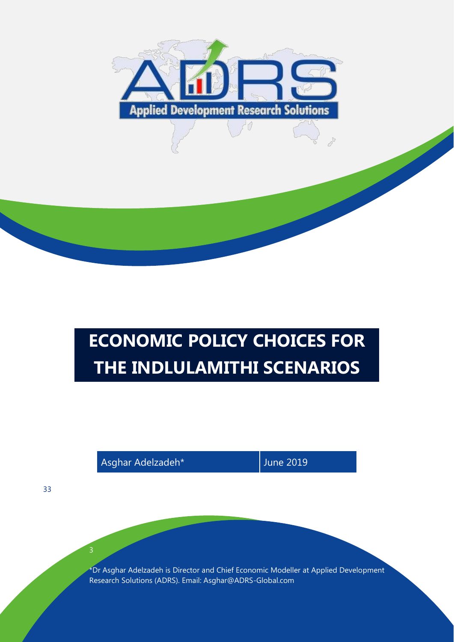

# **ECONOMIC POLICY CHOICES FOR THE INDLULAMITHI SCENARIOS**

Asghar Adelzadeh\* June 2019

\*Dr Asghar Adelzadeh is Director and Chief Economic Modeller at Applied Development Research Solutions (ADRS). Email: Asghar@ADRS-Global.com

33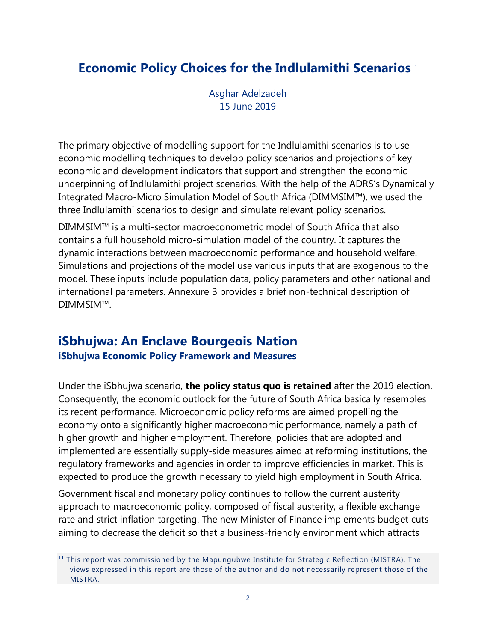# **Economic Policy Choices for the Indlulamithi Scenarios** <sup>1</sup>

Asghar Adelzadeh 15 June 2019

The primary objective of modelling support for the Indlulamithi scenarios is to use economic modelling techniques to develop policy scenarios and projections of key economic and development indicators that support and strengthen the economic underpinning of Indlulamithi project scenarios. With the help of the ADRS's Dynamically Integrated Macro-Micro Simulation Model of South Africa (DIMMSIM™), we used the three Indlulamithi scenarios to design and simulate relevant policy scenarios.

DIMMSIM™ is a multi-sector macroeconometric model of South Africa that also contains a full household micro-simulation model of the country. It captures the dynamic interactions between macroeconomic performance and household welfare. Simulations and projections of the model use various inputs that are exogenous to the model. These inputs include population data, policy parameters and other national and international parameters. Annexure B provides a brief non-technical description of DIMMSIM™.

### **iSbhujwa: An Enclave Bourgeois Nation iSbhujwa Economic Policy Framework and Measures**

Under the iSbhujwa scenario, **the policy status quo is retained** after the 2019 election. Consequently, the economic outlook for the future of South Africa basically resembles its recent performance. Microeconomic policy reforms are aimed propelling the economy onto a significantly higher macroeconomic performance, namely a path of higher growth and higher employment. Therefore, policies that are adopted and implemented are essentially supply-side measures aimed at reforming institutions, the regulatory frameworks and agencies in order to improve efficiencies in market. This is expected to produce the growth necessary to yield high employment in South Africa.

Government fiscal and monetary policy continues to follow the current austerity approach to macroeconomic policy, composed of fiscal austerity, a flexible exchange rate and strict inflation targeting. The new Minister of Finance implements budget cuts aiming to decrease the deficit so that a business-friendly environment which attracts

 $11$  This report was commissioned by the Mapungubwe Institute for Strategic Reflection (MISTRA). The views expressed in this report are those of the author and do not necessarily represent those of the MISTRA.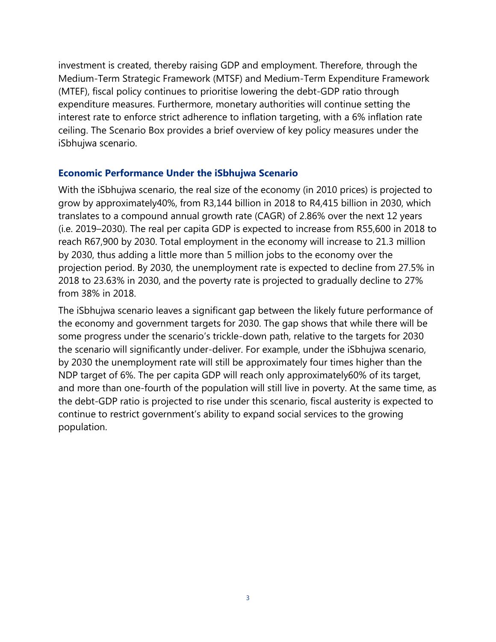investment is created, thereby raising GDP and employment. Therefore, through the Medium-Term Strategic Framework (MTSF) and Medium-Term Expenditure Framework (MTEF), fiscal policy continues to prioritise lowering the debt-GDP ratio through expenditure measures. Furthermore, monetary authorities will continue setting the interest rate to enforce strict adherence to inflation targeting, with a 6% inflation rate ceiling. The Scenario Box provides a brief overview of key policy measures under the iSbhujwa scenario.

### **Economic Performance Under the iSbhujwa Scenario**

With the iSbhujwa scenario, the real size of the economy (in 2010 prices) is projected to grow by approximately40%, from R3,144 billion in 2018 to R4,415 billion in 2030, which translates to a compound annual growth rate (CAGR) of 2.86% over the next 12 years (i.e. 2019–2030). The real per capita GDP is expected to increase from R55,600 in 2018 to reach R67,900 by 2030. Total employment in the economy will increase to 21.3 million by 2030, thus adding a little more than 5 million jobs to the economy over the projection period. By 2030, the unemployment rate is expected to decline from 27.5% in 2018 to 23.63% in 2030, and the poverty rate is projected to gradually decline to 27% from 38% in 2018.

The iSbhujwa scenario leaves a significant gap between the likely future performance of the economy and government targets for 2030. The gap shows that while there will be some progress under the scenario's trickle-down path, relative to the targets for 2030 the scenario will significantly under-deliver. For example, under the iSbhujwa scenario, by 2030 the unemployment rate will still be approximately four times higher than the NDP target of 6%. The per capita GDP will reach only approximately60% of its target, and more than one-fourth of the population will still live in poverty. At the same time, as the debt-GDP ratio is projected to rise under this scenario, fiscal austerity is expected to continue to restrict government's ability to expand social services to the growing population.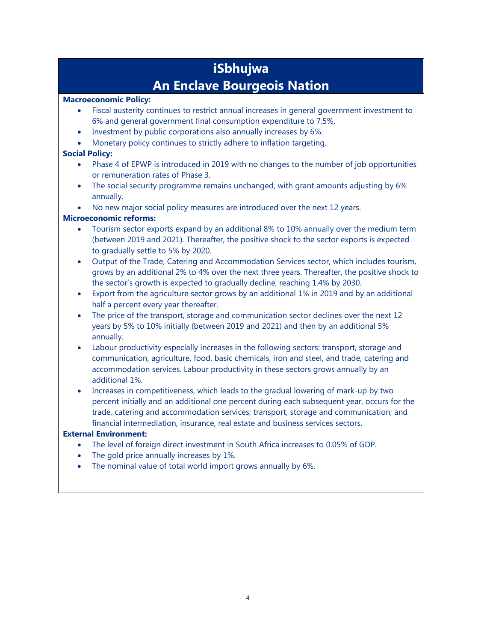# **iSbhujwa An Enclave Bourgeois Nation**

### **Macroeconomic Policy:**

- Fiscal austerity continues to restrict annual increases in general government investment to 6% and general government final consumption expenditure to 7.5%.
- Investment by public corporations also annually increases by 6%.
- Monetary policy continues to strictly adhere to inflation targeting.

### **Social Policy:**

- Phase 4 of EPWP is introduced in 2019 with no changes to the number of job opportunities or remuneration rates of Phase 3.
- The social security programme remains unchanged, with grant amounts adjusting by 6% annually.
- No new major social policy measures are introduced over the next 12 years.

### **Microeconomic reforms:**

- Tourism sector exports expand by an additional 8% to 10% annually over the medium term (between 2019 and 2021). Thereafter, the positive shock to the sector exports is expected to gradually settle to 5% by 2020.
- Output of the Trade, Catering and Accommodation Services sector, which includes tourism, grows by an additional 2% to 4% over the next three years. Thereafter, the positive shock to the sector's growth is expected to gradually decline, reaching 1.4% by 2030.
- Export from the agriculture sector grows by an additional 1% in 2019 and by an additional half a percent every year thereafter.
- The price of the transport, storage and communication sector declines over the next 12 years by 5% to 10% initially (between 2019 and 2021) and then by an additional 5% annually.
- Labour productivity especially increases in the following sectors: transport, storage and communication, agriculture, food, basic chemicals, iron and steel, and trade, catering and accommodation services. Labour productivity in these sectors grows annually by an additional 1%.
- Increases in competitiveness, which leads to the gradual lowering of mark-up by two percent initially and an additional one percent during each subsequent year, occurs for the trade, catering and accommodation services; transport, storage and communication; and financial intermediation, insurance, real estate and business services sectors.

### **External Environment:**

- The level of foreign direct investment in South Africa increases to 0.05% of GDP.
- The gold price annually increases by 1%.
- The nominal value of total world import grows annually by 6%.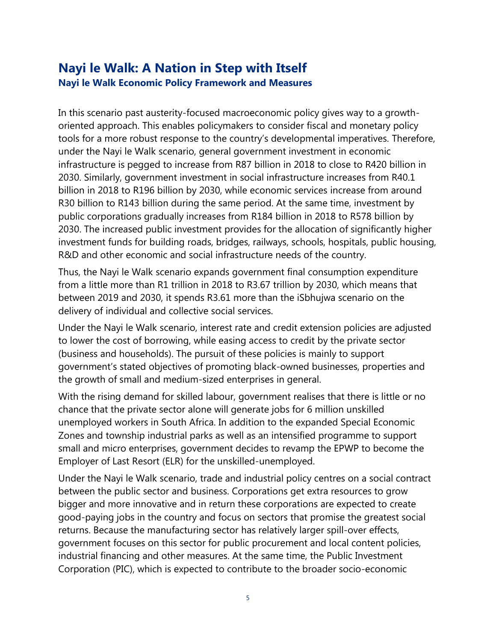# **Nayi le Walk: A Nation in Step with Itself Nayi le Walk Economic Policy Framework and Measures**

In this scenario past austerity-focused macroeconomic policy gives way to a growthoriented approach. This enables policymakers to consider fiscal and monetary policy tools for a more robust response to the country's developmental imperatives. Therefore, under the Nayi le Walk scenario, general government investment in economic infrastructure is pegged to increase from R87 billion in 2018 to close to R420 billion in 2030. Similarly, government investment in social infrastructure increases from R40.1 billion in 2018 to R196 billion by 2030, while economic services increase from around R30 billion to R143 billion during the same period. At the same time, investment by public corporations gradually increases from R184 billion in 2018 to R578 billion by 2030. The increased public investment provides for the allocation of significantly higher investment funds for building roads, bridges, railways, schools, hospitals, public housing, R&D and other economic and social infrastructure needs of the country.

Thus, the Nayi le Walk scenario expands government final consumption expenditure from a little more than R1 trillion in 2018 to R3.67 trillion by 2030, which means that between 2019 and 2030, it spends R3.61 more than the iSbhujwa scenario on the delivery of individual and collective social services.

Under the Nayi le Walk scenario, interest rate and credit extension policies are adjusted to lower the cost of borrowing, while easing access to credit by the private sector (business and households). The pursuit of these policies is mainly to support government's stated objectives of promoting black-owned businesses, properties and the growth of small and medium-sized enterprises in general.

With the rising demand for skilled labour, government realises that there is little or no chance that the private sector alone will generate jobs for 6 million unskilled unemployed workers in South Africa. In addition to the expanded Special Economic Zones and township industrial parks as well as an intensified programme to support small and micro enterprises, government decides to revamp the EPWP to become the Employer of Last Resort (ELR) for the unskilled-unemployed.

Under the Nayi le Walk scenario, trade and industrial policy centres on a social contract between the public sector and business. Corporations get extra resources to grow bigger and more innovative and in return these corporations are expected to create good-paying jobs in the country and focus on sectors that promise the greatest social returns. Because the manufacturing sector has relatively larger spill-over effects, government focuses on this sector for public procurement and local content policies, industrial financing and other measures. At the same time, the Public Investment Corporation (PIC), which is expected to contribute to the broader socio-economic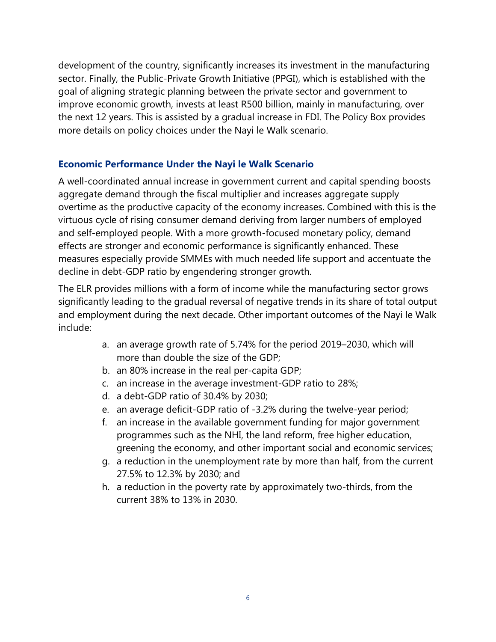development of the country, significantly increases its investment in the manufacturing sector. Finally, the Public-Private Growth Initiative (PPGI), which is established with the goal of aligning strategic planning between the private sector and government to improve economic growth, invests at least R500 billion, mainly in manufacturing, over the next 12 years. This is assisted by a gradual increase in FDI. The Policy Box provides more details on policy choices under the Nayi le Walk scenario.

### **Economic Performance Under the Nayi le Walk Scenario**

A well-coordinated annual increase in government current and capital spending boosts aggregate demand through the fiscal multiplier and increases aggregate supply overtime as the productive capacity of the economy increases. Combined with this is the virtuous cycle of rising consumer demand deriving from larger numbers of employed and self-employed people. With a more growth-focused monetary policy, demand effects are stronger and economic performance is significantly enhanced. These measures especially provide SMMEs with much needed life support and accentuate the decline in debt-GDP ratio by engendering stronger growth.

The ELR provides millions with a form of income while the manufacturing sector grows significantly leading to the gradual reversal of negative trends in its share of total output and employment during the next decade. Other important outcomes of the Nayi le Walk include:

- a. an average growth rate of 5.74% for the period 2019–2030, which will more than double the size of the GDP;
- b. an 80% increase in the real per-capita GDP;
- c. an increase in the average investment-GDP ratio to 28%;
- d. a debt-GDP ratio of 30.4% by 2030;
- e. an average deficit-GDP ratio of -3.2% during the twelve-year period;
- f. an increase in the available government funding for major government programmes such as the NHI, the land reform, free higher education, greening the economy, and other important social and economic services;
- g. a reduction in the unemployment rate by more than half, from the current 27.5% to 12.3% by 2030; and
- h. a reduction in the poverty rate by approximately two-thirds, from the current 38% to 13% in 2030.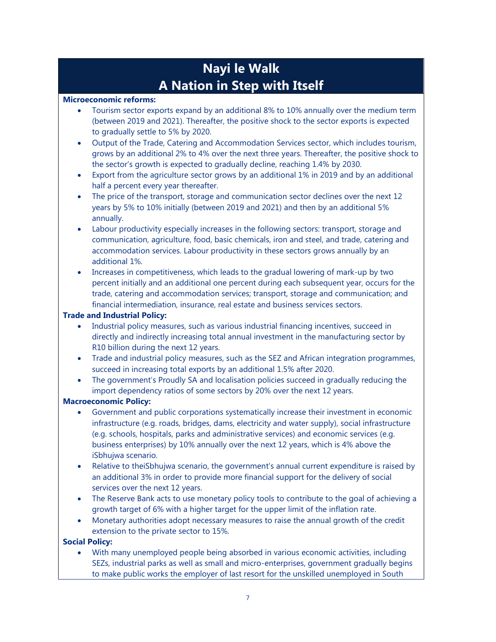# **Nayi le Walk A Nation in Step with Itself**

#### **Microeconomic reforms:**

- Tourism sector exports expand by an additional 8% to 10% annually over the medium term (between 2019 and 2021). Thereafter, the positive shock to the sector exports is expected to gradually settle to 5% by 2020.
- Output of the Trade, Catering and Accommodation Services sector, which includes tourism, grows by an additional 2% to 4% over the next three years. Thereafter, the positive shock to the sector's growth is expected to gradually decline, reaching 1.4% by 2030.
- Export from the agriculture sector grows by an additional 1% in 2019 and by an additional half a percent every year thereafter.
- The price of the transport, storage and communication sector declines over the next 12 years by 5% to 10% initially (between 2019 and 2021) and then by an additional 5% annually.
- Labour productivity especially increases in the following sectors: transport, storage and communication, agriculture, food, basic chemicals, iron and steel, and trade, catering and accommodation services. Labour productivity in these sectors grows annually by an additional 1%.
- Increases in competitiveness, which leads to the gradual lowering of mark-up by two percent initially and an additional one percent during each subsequent year, occurs for the trade, catering and accommodation services; transport, storage and communication; and financial intermediation, insurance, real estate and business services sectors.

### **Trade and Industrial Policy:**

- Industrial policy measures, such as various industrial financing incentives, succeed in directly and indirectly increasing total annual investment in the manufacturing sector by R10 billion during the next 12 years.
- Trade and industrial policy measures, such as the SEZ and African integration programmes, succeed in increasing total exports by an additional 1.5% after 2020.
- The government's Proudly SA and localisation policies succeed in gradually reducing the import dependency ratios of some sectors by 20% over the next 12 years.

### **Macroeconomic Policy:**

- Government and public corporations systematically increase their investment in economic infrastructure (e.g. roads, bridges, dams, electricity and water supply), social infrastructure (e.g. schools, hospitals, parks and administrative services) and economic services (e.g. business enterprises) by 10% annually over the next 12 years, which is 4% above the iSbhujwa scenario.
- Relative to theiSbhujwa scenario, the government's annual current expenditure is raised by an additional 3% in order to provide more financial support for the delivery of social services over the next 12 years.
- The Reserve Bank acts to use monetary policy tools to contribute to the goal of achieving a growth target of 6% with a higher target for the upper limit of the inflation rate.
- Monetary authorities adopt necessary measures to raise the annual growth of the credit extension to the private sector to 15%.

### **Social Policy:**

• With many unemployed people being absorbed in various economic activities, including SEZs, industrial parks as well as small and micro-enterprises, government gradually begins to make public works the employer of last resort for the unskilled unemployed in South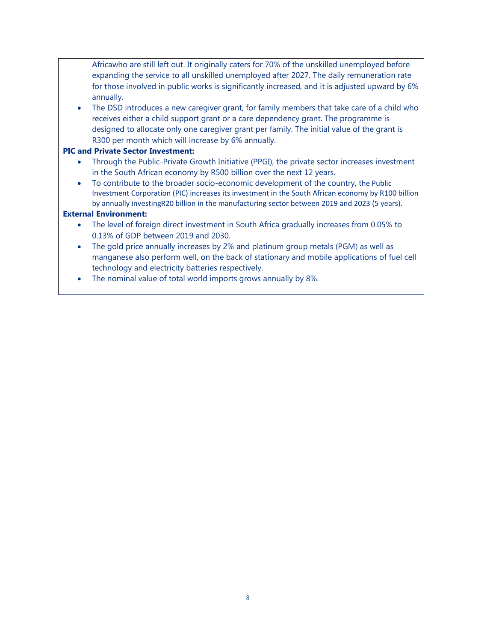Africawho are still left out. It originally caters for 70% of the unskilled unemployed before expanding the service to all unskilled unemployed after 2027. The daily remuneration rate for those involved in public works is significantly increased, and it is adjusted upward by 6% annually.

The DSD introduces a new caregiver grant, for family members that take care of a child who receives either a child support grant or a care dependency grant. The programme is designed to allocate only one caregiver grant per family. The initial value of the grant is R300 per month which will increase by 6% annually.

#### **PIC and Private Sector Investment:**

- Through the Public-Private Growth Initiative (PPGI), the private sector increases investment in the South African economy by R500 billion over the next 12 years.
- To contribute to the broader socio-economic development of the country, the Public Investment Corporation (PIC) increases its investment in the South African economy by R100 billion by annually investingR20 billion in the manufacturing sector between 2019 and 2023 (5 years).

#### **External Environment:**

- The level of foreign direct investment in South Africa gradually increases from 0.05% to 0.13% of GDP between 2019 and 2030.
- The gold price annually increases by 2% and platinum group metals (PGM) as well as manganese also perform well, on the back of stationary and mobile applications of fuel cell technology and electricity batteries respectively.
- The nominal value of total world imports grows annually by 8%.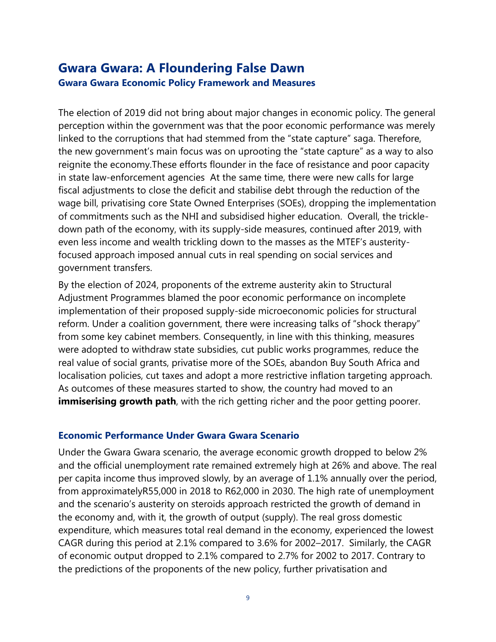## **Gwara Gwara: A Floundering False Dawn Gwara Gwara Economic Policy Framework and Measures**

The election of 2019 did not bring about major changes in economic policy. The general perception within the government was that the poor economic performance was merely linked to the corruptions that had stemmed from the "state capture" saga. Therefore, the new government's main focus was on uprooting the "state capture" as a way to also reignite the economy.These efforts flounder in the face of resistance and poor capacity in state law-enforcement agencies At the same time, there were new calls for large fiscal adjustments to close the deficit and stabilise debt through the reduction of the wage bill, privatising core State Owned Enterprises (SOEs), dropping the implementation of commitments such as the NHI and subsidised higher education. Overall, the trickledown path of the economy, with its supply-side measures, continued after 2019, with even less income and wealth trickling down to the masses as the MTEF's austerityfocused approach imposed annual cuts in real spending on social services and government transfers.

By the election of 2024, proponents of the extreme austerity akin to Structural Adjustment Programmes blamed the poor economic performance on incomplete implementation of their proposed supply-side microeconomic policies for structural reform. Under a coalition government, there were increasing talks of "shock therapy" from some key cabinet members. Consequently, in line with this thinking, measures were adopted to withdraw state subsidies, cut public works programmes, reduce the real value of social grants, privatise more of the SOEs, abandon Buy South Africa and localisation policies, cut taxes and adopt a more restrictive inflation targeting approach. As outcomes of these measures started to show, the country had moved to an **immiserising growth path**, with the rich getting richer and the poor getting poorer.

### **Economic Performance Under Gwara Gwara Scenario**

Under the Gwara Gwara scenario, the average economic growth dropped to below 2% and the official unemployment rate remained extremely high at 26% and above. The real per capita income thus improved slowly, by an average of 1.1% annually over the period, from approximatelyR55,000 in 2018 to R62,000 in 2030. The high rate of unemployment and the scenario's austerity on steroids approach restricted the growth of demand in the economy and, with it, the growth of output (supply). The real gross domestic expenditure, which measures total real demand in the economy, experienced the lowest CAGR during this period at 2.1% compared to 3.6% for 2002–2017. Similarly, the CAGR of economic output dropped to 2.1% compared to 2.7% for 2002 to 2017. Contrary to the predictions of the proponents of the new policy, further privatisation and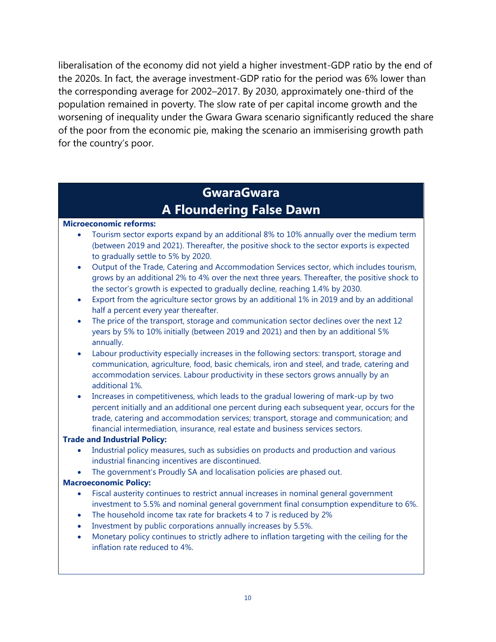liberalisation of the economy did not yield a higher investment-GDP ratio by the end of the 2020s. In fact, the average investment-GDP ratio for the period was 6% lower than the corresponding average for 2002–2017. By 2030, approximately one-third of the population remained in poverty. The slow rate of per capital income growth and the worsening of inequality under the Gwara Gwara scenario significantly reduced the share of the poor from the economic pie, making the scenario an immiserising growth path for the country's poor.

# **GwaraGwara A Floundering False Dawn**

### **Microeconomic reforms:**

- Tourism sector exports expand by an additional 8% to 10% annually over the medium term (between 2019 and 2021). Thereafter, the positive shock to the sector exports is expected to gradually settle to 5% by 2020.
- Output of the Trade, Catering and Accommodation Services sector, which includes tourism, grows by an additional 2% to 4% over the next three years. Thereafter, the positive shock to the sector's growth is expected to gradually decline, reaching 1.4% by 2030.
- Export from the agriculture sector grows by an additional 1% in 2019 and by an additional half a percent every year thereafter.
- The price of the transport, storage and communication sector declines over the next 12 years by 5% to 10% initially (between 2019 and 2021) and then by an additional 5% annually.
- Labour productivity especially increases in the following sectors: transport, storage and communication, agriculture, food, basic chemicals, iron and steel, and trade, catering and accommodation services. Labour productivity in these sectors grows annually by an additional 1%.
- Increases in competitiveness, which leads to the gradual lowering of mark-up by two percent initially and an additional one percent during each subsequent year, occurs for the trade, catering and accommodation services; transport, storage and communication; and financial intermediation, insurance, real estate and business services sectors.

### **Trade and Industrial Policy:**

- Industrial policy measures, such as subsidies on products and production and various industrial financing incentives are discontinued.
- The government's Proudly SA and localisation policies are phased out.

### **Macroeconomic Policy:**

- Fiscal austerity continues to restrict annual increases in nominal general government investment to 5.5% and nominal general government final consumption expenditure to 6%.
- The household income tax rate for brackets 4 to 7 is reduced by 2%
- Investment by public corporations annually increases by 5.5%.
- Monetary policy continues to strictly adhere to inflation targeting with the ceiling for the inflation rate reduced to 4%.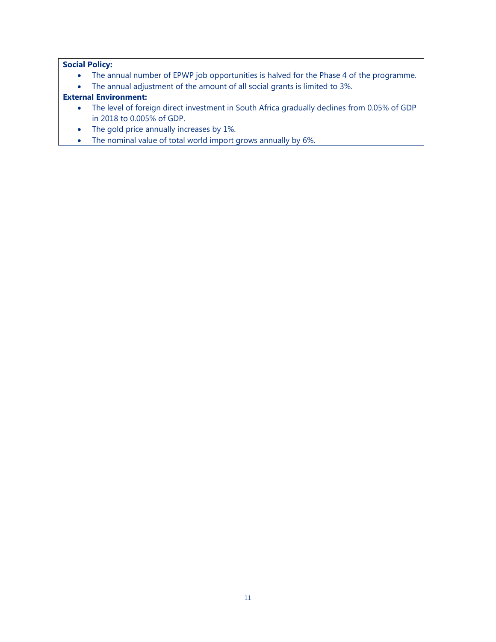### **Social Policy:**

- The annual number of EPWP job opportunities is halved for the Phase 4 of the programme.
- The annual adjustment of the amount of all social grants is limited to 3%.

### **External Environment:**

- The level of foreign direct investment in South Africa gradually declines from 0.05% of GDP in 2018 to 0.005% of GDP.
- The gold price annually increases by 1%.
- The nominal value of total world import grows annually by 6%.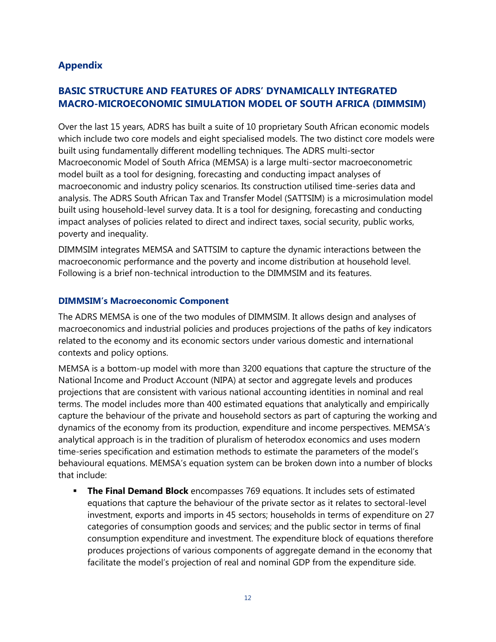### **Appendix**

### **BASIC STRUCTURE AND FEATURES OF ADRS' DYNAMICALLY INTEGRATED MACRO-MICROECONOMIC SIMULATION MODEL OF SOUTH AFRICA (DIMMSIM)**

Over the last 15 years, ADRS has built a suite of 10 proprietary South African economic models which include two core models and eight specialised models. The two distinct core models were built using fundamentally different modelling techniques. The ADRS multi-sector Macroeconomic Model of South Africa (MEMSA) is a large multi-sector macroeconometric model built as a tool for designing, forecasting and conducting impact analyses of macroeconomic and industry policy scenarios. Its construction utilised time-series data and analysis. The ADRS South African Tax and Transfer Model (SATTSIM) is a microsimulation model built using household-level survey data. It is a tool for designing, forecasting and conducting impact analyses of policies related to direct and indirect taxes, social security, public works, poverty and inequality.

DIMMSIM integrates MEMSA and SATTSIM to capture the dynamic interactions between the macroeconomic performance and the poverty and income distribution at household level. Following is a brief non-technical introduction to the DIMMSIM and its features.

### **DIMMSIM's Macroeconomic Component**

The ADRS MEMSA is one of the two modules of DIMMSIM. It allows design and analyses of macroeconomics and industrial policies and produces projections of the paths of key indicators related to the economy and its economic sectors under various domestic and international contexts and policy options.

MEMSA is a bottom-up model with more than 3200 equations that capture the structure of the National Income and Product Account (NIPA) at sector and aggregate levels and produces projections that are consistent with various national accounting identities in nominal and real terms. The model includes more than 400 estimated equations that analytically and empirically capture the behaviour of the private and household sectors as part of capturing the working and dynamics of the economy from its production, expenditure and income perspectives. MEMSA's analytical approach is in the tradition of pluralism of heterodox economics and uses modern time-series specification and estimation methods to estimate the parameters of the model's behavioural equations. MEMSA's equation system can be broken down into a number of blocks that include:

**The Final Demand Block** encompasses 769 equations. It includes sets of estimated equations that capture the behaviour of the private sector as it relates to sectoral-level investment, exports and imports in 45 sectors; households in terms of expenditure on 27 categories of consumption goods and services; and the public sector in terms of final consumption expenditure and investment. The expenditure block of equations therefore produces projections of various components of aggregate demand in the economy that facilitate the model's projection of real and nominal GDP from the expenditure side.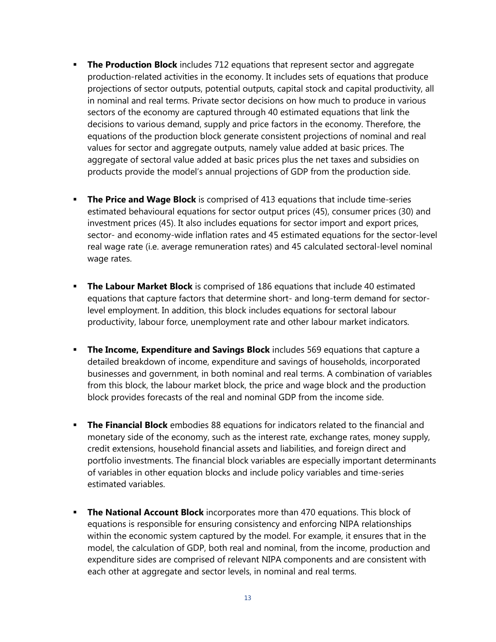- **The Production Block** includes 712 equations that represent sector and aggregate production-related activities in the economy. It includes sets of equations that produce projections of sector outputs, potential outputs, capital stock and capital productivity, all in nominal and real terms. Private sector decisions on how much to produce in various sectors of the economy are captured through 40 estimated equations that link the decisions to various demand, supply and price factors in the economy. Therefore, the equations of the production block generate consistent projections of nominal and real values for sector and aggregate outputs, namely value added at basic prices. The aggregate of sectoral value added at basic prices plus the net taxes and subsidies on products provide the model's annual projections of GDP from the production side.
- **The Price and Wage Block** is comprised of 413 equations that include time-series estimated behavioural equations for sector output prices (45), consumer prices (30) and investment prices (45). It also includes equations for sector import and export prices, sector- and economy-wide inflation rates and 45 estimated equations for the sector-level real wage rate (i.e. average remuneration rates) and 45 calculated sectoral-level nominal wage rates.
- **The Labour Market Block** is comprised of 186 equations that include 40 estimated equations that capture factors that determine short- and long-term demand for sectorlevel employment. In addition, this block includes equations for sectoral labour productivity, labour force, unemployment rate and other labour market indicators.
- **The Income, Expenditure and Savings Block** includes 569 equations that capture a detailed breakdown of income, expenditure and savings of households, incorporated businesses and government, in both nominal and real terms. A combination of variables from this block, the labour market block, the price and wage block and the production block provides forecasts of the real and nominal GDP from the income side.
- **The Financial Block** embodies 88 equations for indicators related to the financial and monetary side of the economy, such as the interest rate, exchange rates, money supply, credit extensions, household financial assets and liabilities, and foreign direct and portfolio investments. The financial block variables are especially important determinants of variables in other equation blocks and include policy variables and time-series estimated variables.
- **The National Account Block** incorporates more than 470 equations. This block of equations is responsible for ensuring consistency and enforcing NIPA relationships within the economic system captured by the model. For example, it ensures that in the model, the calculation of GDP, both real and nominal, from the income, production and expenditure sides are comprised of relevant NIPA components and are consistent with each other at aggregate and sector levels, in nominal and real terms.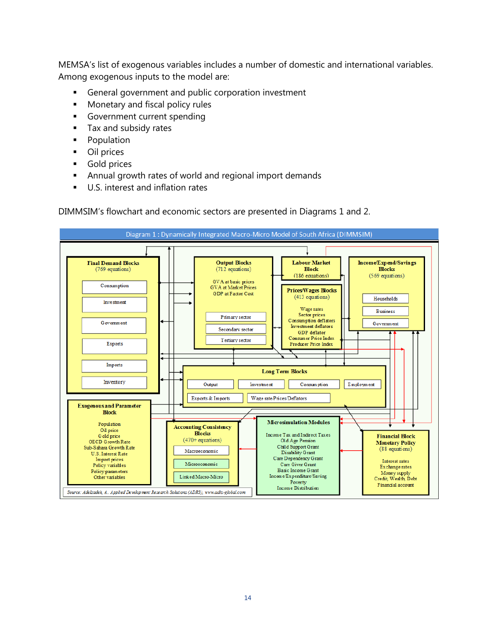MEMSA's list of exogenous variables includes a number of domestic and international variables. Among exogenous inputs to the model are:

- General government and public corporation investment
- Monetary and fiscal policy rules
- **•** Government current spending
- **Tax and subsidy rates**
- Population
- Oil prices
- Gold prices
- Annual growth rates of world and regional import demands
- U.S. interest and inflation rates

DIMMSIM's flowchart and economic sectors are presented in Diagrams 1 and 2.

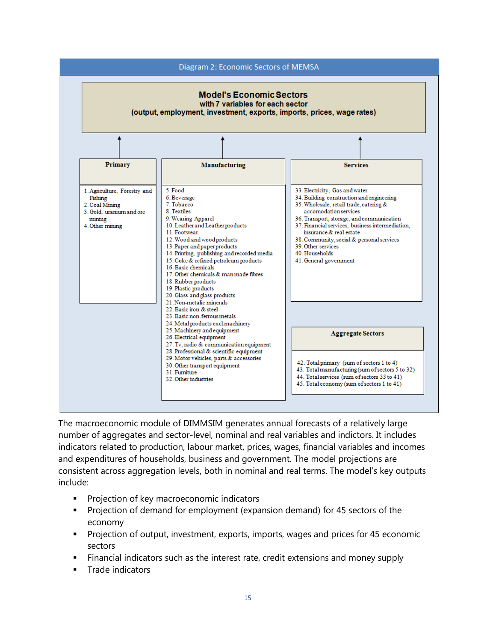

The macroeconomic module of DIMMSIM generates annual forecasts of a relatively large number of aggregates and sector-level, nominal and real variables and indictors. It includes indicators related to production, labour market, prices, wages, financial variables and incomes and expenditures of households, business and government. The model projections are consistent across aggregation levels, both in nominal and real terms. The model's key outputs include:

- Projection of key macroeconomic indicators
- Projection of demand for employment (expansion demand) for 45 sectors of the economy
- Projection of output, investment, exports, imports, wages and prices for 45 economic sectors
- Financial indicators such as the interest rate, credit extensions and money supply
- Trade indicators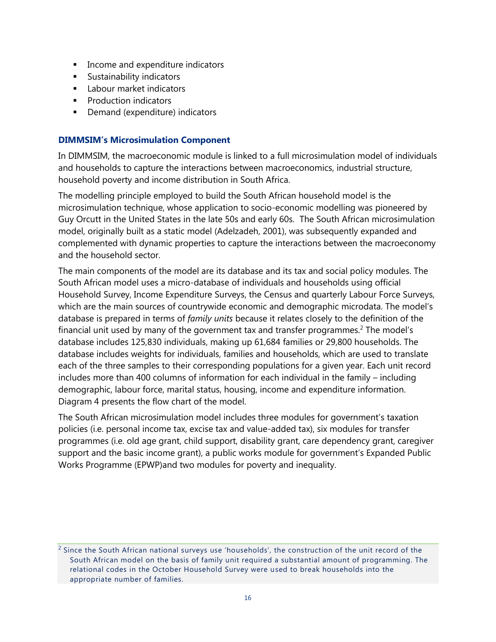- **■** Income and expenditure indicators
- **■** Sustainability indicators
- **■** Labour market indicators
- Production indicators
- Demand (expenditure) indicators

### **DIMMSIM's Microsimulation Component**

In DIMMSIM, the macroeconomic module is linked to a full microsimulation model of individuals and households to capture the interactions between macroeconomics, industrial structure, household poverty and income distribution in South Africa.

The modelling principle employed to build the South African household model is the microsimulation technique, whose application to socio-economic modelling was pioneered by Guy Orcutt in the United States in the late 50s and early 60s. The South African microsimulation model, originally built as a static model (Adelzadeh, 2001), was subsequently expanded and complemented with dynamic properties to capture the interactions between the macroeconomy and the household sector.

The main components of the model are its database and its tax and social policy modules. The South African model uses a micro-database of individuals and households using official Household Survey, Income Expenditure Surveys, the Census and quarterly Labour Force Surveys, which are the main sources of countrywide economic and demographic microdata. The model's database is prepared in terms of *family units* because it relates closely to the definition of the financial unit used by many of the government tax and transfer programmes.<sup>2</sup> The model's database includes 125,830 individuals, making up 61,684 families or 29,800 households. The database includes weights for individuals, families and households, which are used to translate each of the three samples to their corresponding populations for a given year. Each unit record includes more than 400 columns of information for each individual in the family – including demographic, labour force, marital status, housing, income and expenditure information. Diagram 4 presents the flow chart of the model.

The South African microsimulation model includes three modules for government's taxation policies (i.e. personal income tax, excise tax and value-added tax), six modules for transfer programmes (i.e. old age grant, child support, disability grant, care dependency grant, caregiver support and the basic income grant), a public works module for government's Expanded Public Works Programme (EPWP)and two modules for poverty and inequality.

<sup>2</sup> Since the South African national surveys use 'households', the construction of the unit record of the South African model on the basis of family unit required a substantial amount of programming. The relational codes in the October Household Survey were used to break households into the appropriate number of families.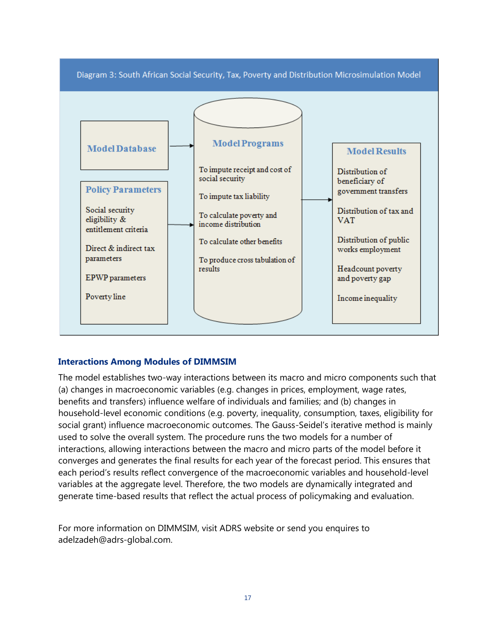

### **Interactions Among Modules of DIMMSIM**

The model establishes two-way interactions between its macro and micro components such that (a) changes in macroeconomic variables (e.g. changes in prices, employment, wage rates, benefits and transfers) influence welfare of individuals and families; and (b) changes in household-level economic conditions (e.g. poverty, inequality, consumption, taxes, eligibility for social grant) influence macroeconomic outcomes. The Gauss-Seidel's iterative method is mainly used to solve the overall system. The procedure runs the two models for a number of interactions, allowing interactions between the macro and micro parts of the model before it converges and generates the final results for each year of the forecast period. This ensures that each period's results reflect convergence of the macroeconomic variables and household-level variables at the aggregate level. Therefore, the two models are dynamically integrated and generate time-based results that reflect the actual process of policymaking and evaluation.

For more information on DIMMSIM, visit ADRS website or send you enquires to adelzadeh@adrs-global.com.